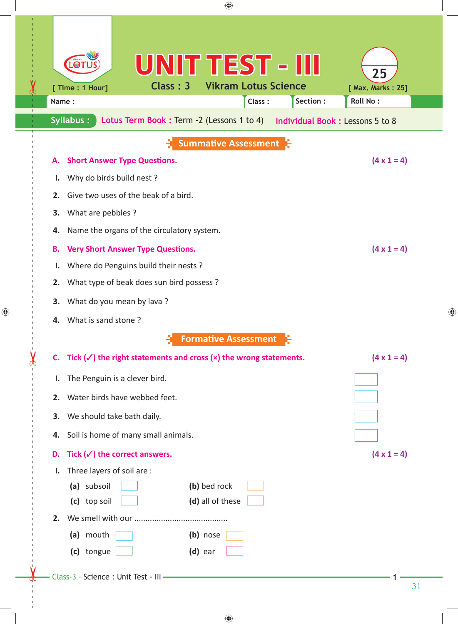| ◈                                                                                                                     |                                        |
|-----------------------------------------------------------------------------------------------------------------------|----------------------------------------|
| UNIT TEST - III<br>LOT<br>Class: 3<br><b>Vikram Lotus Science</b><br>[ Time : 1 Hour]<br>Class:<br>Section :<br>Name: | 25<br>[ Max. Marks: 25]<br>Roll No:    |
| Syllabus:<br>Lotus Term Book: Term -2 (Lessons 1 to 4)                                                                | <b>Individual Book: Lessons 5 to 8</b> |
| <b>Summative Assessment</b>                                                                                           |                                        |
| <b>Short Answer Type Questions.</b><br>Α.                                                                             | $(4 \times 1 = 4)$                     |
| Why do birds build nest?<br>ı.                                                                                        |                                        |
| Give two uses of the beak of a bird.<br>2.                                                                            |                                        |
| What are pebbles ?<br>3.                                                                                              |                                        |
| Name the organs of the circulatory system.<br>4.                                                                      |                                        |
| <b>Very Short Answer Type Questions.</b><br>Β.                                                                        | $(4 \times 1 = 4)$                     |
| Where do Penguins build their nests ?<br>I.                                                                           |                                        |
| What type of beak does sun bird possess?<br>2.                                                                        |                                        |
| What do you mean by lava?<br>3.                                                                                       |                                        |
| What is sand stone?<br>4.                                                                                             |                                        |
| <b>Formative Assessment</b>                                                                                           |                                        |
| C. Tick $(\checkmark)$ the right statements and cross $(x)$ the wrong statements.                                     | $(4 \times 1 = 4)$                     |
| The Penguin is a clever bird.<br>L.                                                                                   |                                        |
| 2. Water birds have webbed feet.                                                                                      |                                        |
| 3. We should take bath daily.                                                                                         |                                        |
| Soil is home of many small animals.<br>4.                                                                             |                                        |
| Tick $(\checkmark)$ the correct answers.<br>D.                                                                        | $(4 \times 1 = 4)$                     |
| Three layers of soil are :<br>Ι.                                                                                      |                                        |
| (a) subsoil<br>(b) bed rock                                                                                           |                                        |
| (d) all of these<br>(c) top soil                                                                                      |                                        |
|                                                                                                                       |                                        |
| (a) mouth<br>(b) nose                                                                                                 |                                        |
| (c) tongue<br>$(d)$ ear                                                                                               |                                        |
| Class-3 - Science : Unit Test - III                                                                                   |                                        |

 $\bigoplus$